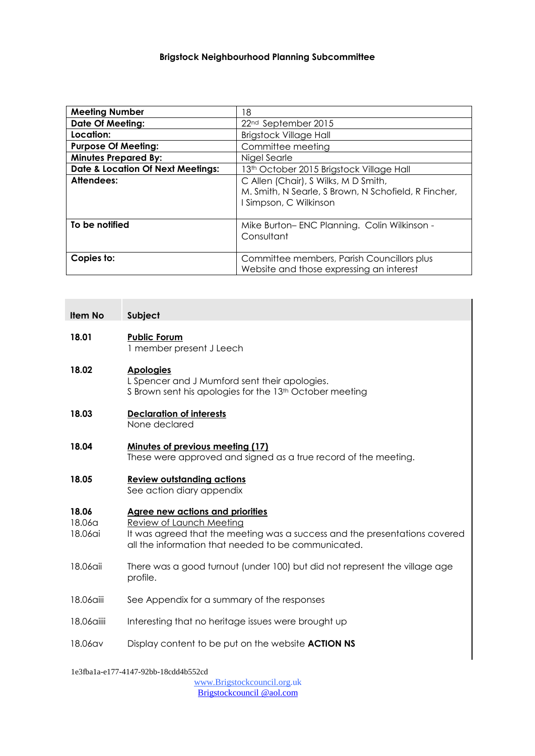| <b>Meeting Number</b>                        | 18                                                                                                                   |
|----------------------------------------------|----------------------------------------------------------------------------------------------------------------------|
| <b>Date Of Meeting:</b>                      | 22 <sup>nd</sup> September 2015                                                                                      |
| Location:                                    | <b>Brigstock Village Hall</b>                                                                                        |
| <b>Purpose Of Meeting:</b>                   | Committee meeting                                                                                                    |
| <b>Minutes Prepared By:</b>                  | Nigel Searle                                                                                                         |
| <b>Date &amp; Location Of Next Meetings:</b> | 13th October 2015 Brigstock Village Hall                                                                             |
| Attendees:                                   | C Allen (Chair), S Wilks, M D Smith,<br>M. Smith, N Searle, S Brown, N Schofield, R Fincher,<br>Simpson, C Wilkinson |
|                                              |                                                                                                                      |
| To be notified                               | Mike Burton-ENC Planning. Colin Wilkinson -<br>Consultant                                                            |
| Copies to:                                   | Committee members, Parish Councillors plus<br>Website and those expressing an interest                               |

| <b>Item No</b> | Subject |
|----------------|---------|
|----------------|---------|

# **18.01 Public Forum**

1 member present J Leech

# **18.02 Apologies**

L Spencer and J Mumford sent their apologies. S Brown sent his apologies for the 13<sup>th</sup> October meeting

#### **18.03 Declaration of interests** None declared

#### **18.04 Minutes of previous meeting (17)** These were approved and signed as a true record of the meeting.

# **18.05 Review outstanding actions**

See action diary appendix

#### **18.06 Agree new actions and priorities**

- 18.06a Review of Launch Meeting
- 18.06ai It was agreed that the meeting was a success and the presentations covered all the information that needed to be communicated.
- 18.06aii There was a good turnout (under 100) but did not represent the village age profile.
- 18.06aiii See Appendix for a summary of the responses
- 18.06aiii Interesting that no heritage issues were brought up
- 18.06av Display content to be put on the website **ACTION NS**

1e3fba1a-e177-4147-92bb-18cdd4b552cd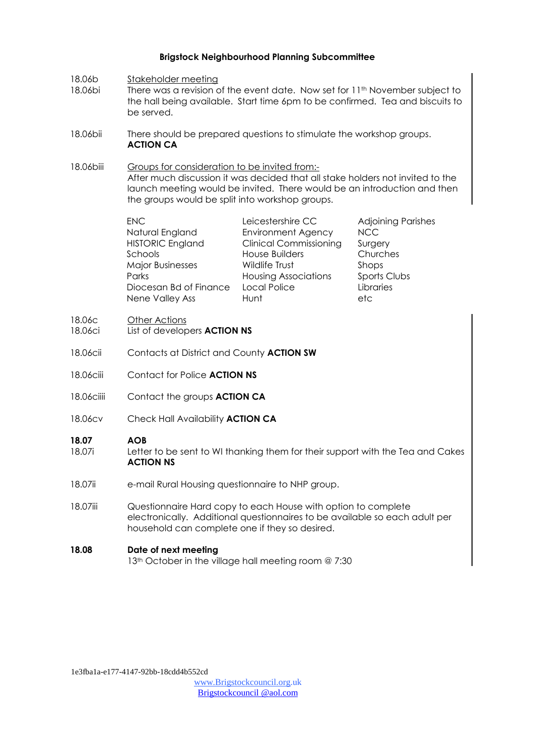- 18.06b Stakeholder meeting
- 18.06bi There was a revision of the event date. Now set for 11th November subject to the hall being available. Start time 6pm to be confirmed. Tea and biscuits to be served.
- 18.06bii There should be prepared questions to stimulate the workshop groups. **ACTION CA**
- 18.06biii Groups for consideration to be invited from:-After much discussion it was decided that all stake holders not invited to the launch meeting would be invited. There would be an introduction and then the groups would be split into workshop groups.

| <b>ENC</b>              | Leicestershire CC             | <b>Adjoining Parishes</b> |
|-------------------------|-------------------------------|---------------------------|
| Natural England         | <b>Environment Agency</b>     | <b>NCC</b>                |
| <b>HISTORIC England</b> | <b>Clinical Commissioning</b> | Surgery                   |
| Schools                 | House Builders                | Churches                  |
| <b>Major Businesses</b> | Wildlife Trust                | Shops                     |
| Parks                   | <b>Housing Associations</b>   | Sports Clubs              |
| Diocesan Bd of Finance  | Local Police                  | Libraries                 |
| Nene Valley Ass         | Hunt                          | etc                       |

#### 18.06c Other Actions

- 18.06ci List of developers **ACTION NS**
- 18.06cii Contacts at District and County **ACTION SW**
- 18.06ciii Contact for Police **ACTION NS**
- 18.06ciiii Contact the groups **ACTION CA**
- 18.06cv Check Hall Availability **ACTION CA**

#### **18.07 AOB**

- 18.07i Letter to be sent to WI thanking them for their support with the Tea and Cakes **ACTION NS**
- 18.07ii e-mail Rural Housing questionnaire to NHP group.
- 18.07iii Questionnaire Hard copy to each House with option to complete electronically. Additional questionnaires to be available so each adult per household can complete one if they so desired.

# **18.08 Date of next meeting**

13<sup>th</sup> October in the village hall meeting room @ 7:30

1e3fba1a-e177-4147-92bb-18cdd4b552cd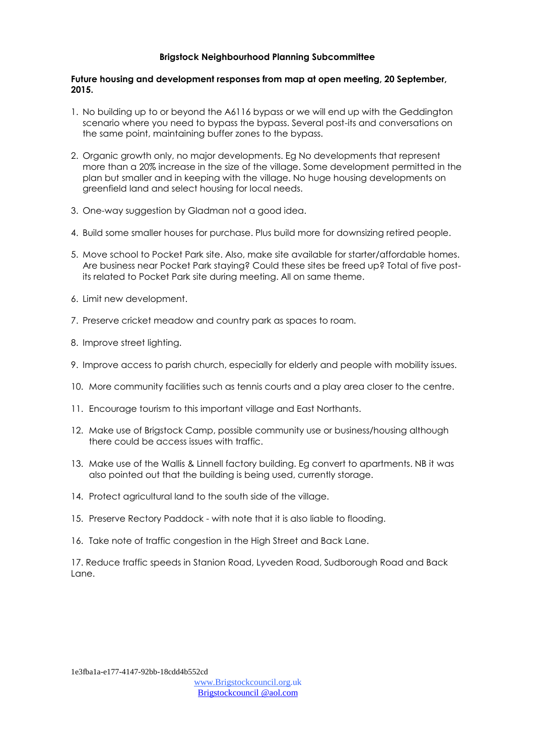#### **Future housing and development responses from map at open meeting, 20 September, 2015.**

- 1. No building up to or beyond the A6116 bypass or we will end up with the Geddington scenario where you need to bypass the bypass. Several post-its and conversations on the same point, maintaining buffer zones to the bypass.
- 2. Organic growth only, no major developments. Eg No developments that represent more than a 20% increase in the size of the village. Some development permitted in the plan but smaller and in keeping with the village. No huge housing developments on greenfield land and select housing for local needs.
- 3. One-way suggestion by Gladman not a good idea.
- 4. Build some smaller houses for purchase. Plus build more for downsizing retired people.
- 5. Move school to Pocket Park site. Also, make site available for starter/affordable homes. Are business near Pocket Park staying? Could these sites be freed up? Total of five postits related to Pocket Park site during meeting. All on same theme.
- 6. Limit new development.
- 7. Preserve cricket meadow and country park as spaces to roam.
- 8. Improve street lighting.
- 9. Improve access to parish church, especially for elderly and people with mobility issues.
- 10. More community facilities such as tennis courts and a play area closer to the centre.
- 11. Encourage tourism to this important village and East Northants.
- 12. Make use of Brigstock Camp, possible community use or business/housing although there could be access issues with traffic.
- 13. Make use of the Wallis & Linnell factory building. Eg convert to apartments. NB it was also pointed out that the building is being used, currently storage.
- 14. Protect agricultural land to the south side of the village.
- 15. Preserve Rectory Paddock with note that it is also liable to flooding.
- 16. Take note of traffic congestion in the High Street and Back Lane.

17. Reduce traffic speeds in Stanion Road, Lyveden Road, Sudborough Road and Back Lane.

1e3fba1a-e177-4147-92bb-18cdd4b552cd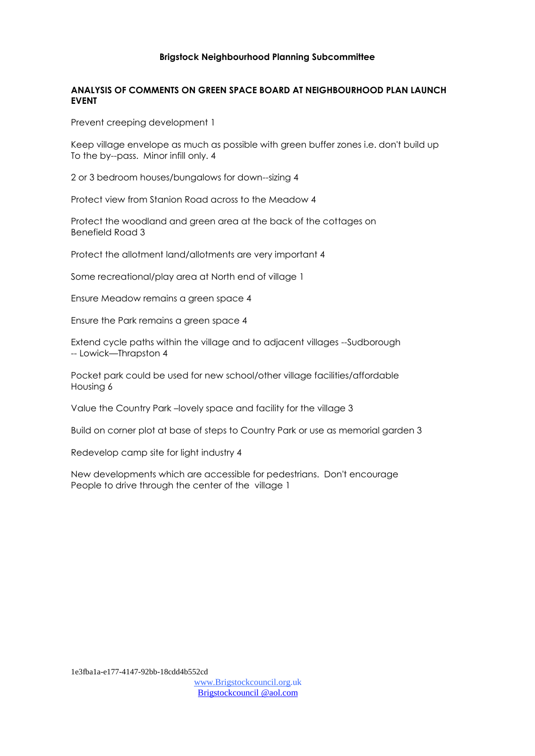# **ANALYSIS OF COMMENTS ON GREEN SPACE BOARD AT NEIGHBOURHOOD PLAN LAUNCH EVENT**

Prevent creeping development 1

Keep village envelope as much as possible with green buffer zones i.e. don't build up To the by--pass. Minor infill only. 4

2 or 3 bedroom houses/bungalows for down--sizing 4

Protect view from Stanion Road across to the Meadow 4

Protect the woodland and green area at the back of the cottages on Benefield Road 3

Protect the allotment land/allotments are very important 4

Some recreational/play area at North end of village 1

Ensure Meadow remains a green space 4

Ensure the Park remains a green space 4

Extend cycle paths within the village and to adjacent villages --Sudborough -- Lowick—Thrapston 4

Pocket park could be used for new school/other village facilities/affordable Housing 6

Value the Country Park –lovely space and facility for the village 3

Build on corner plot at base of steps to Country Park or use as memorial garden 3

Redevelop camp site for light industry 4

New developments which are accessible for pedestrians. Don't encourage People to drive through the center of the village 1

1e3fba1a-e177-4147-92bb-18cdd4b552cd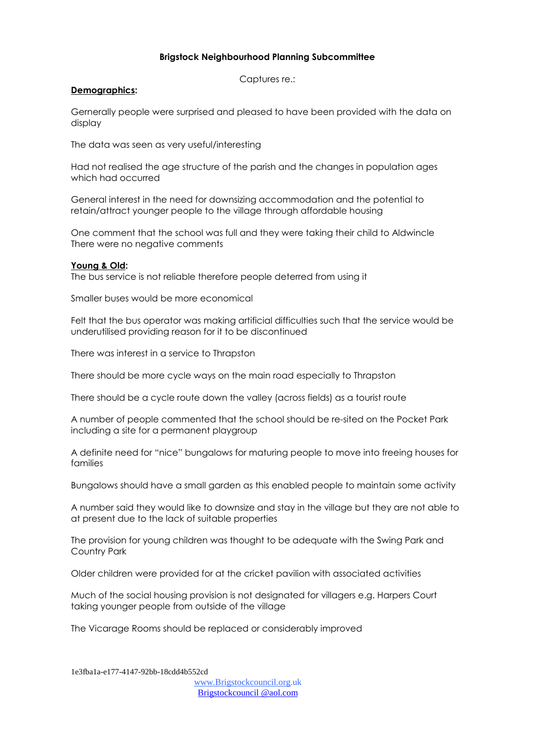Captures re.:

#### **Demographics:**

Gernerally people were surprised and pleased to have been provided with the data on display

The data was seen as very useful/interesting

Had not realised the age structure of the parish and the changes in population ages which had occurred

General interest in the need for downsizing accommodation and the potential to retain/attract younger people to the village through affordable housing

One comment that the school was full and they were taking their child to Aldwincle There were no negative comments

# **Young & Old:**

The bus service is not reliable therefore people deterred from using it

Smaller buses would be more economical

Felt that the bus operator was making artificial difficulties such that the service would be underutilised providing reason for it to be discontinued

There was interest in a service to Thrapston

There should be more cycle ways on the main road especially to Thrapston

There should be a cycle route down the valley (across fields) as a tourist route

A number of people commented that the school should be re-sited on the Pocket Park including a site for a permanent playgroup

A definite need for "nice" bungalows for maturing people to move into freeing houses for families

Bungalows should have a small garden as this enabled people to maintain some activity

A number said they would like to downsize and stay in the village but they are not able to at present due to the lack of suitable properties

The provision for young children was thought to be adequate with the Swing Park and Country Park

Older children were provided for at the cricket pavilion with associated activities

Much of the social housing provision is not designated for villagers e.g. Harpers Court taking younger people from outside of the village

The Vicarage Rooms should be replaced or considerably improved

1e3fba1a-e177-4147-92bb-18cdd4b552cd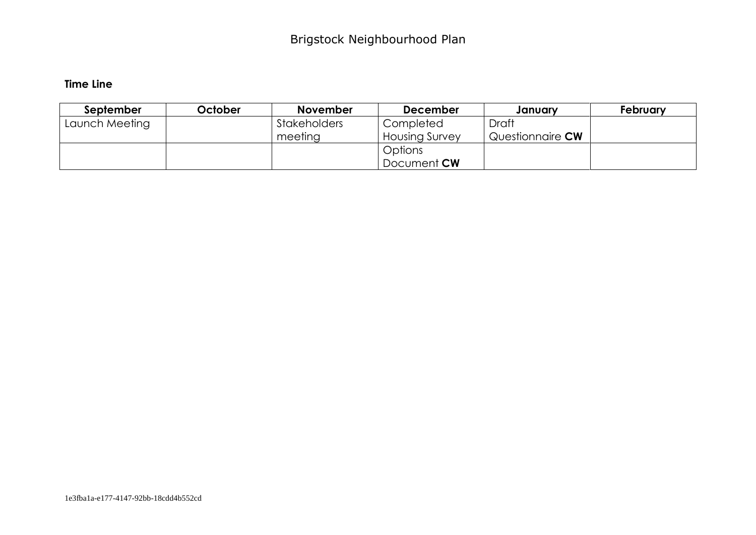# **Time Line**

| September      | October | <b>November</b>     | <b>December</b>       | January                 | February |
|----------------|---------|---------------------|-----------------------|-------------------------|----------|
| Launch Meeting |         | <b>Stakeholders</b> | Completed             | Draft                   |          |
|                |         | meeting             | <b>Housing Survey</b> | Questionnaire <b>CW</b> |          |
|                |         |                     | Options               |                         |          |
|                |         |                     | Document <b>CW</b>    |                         |          |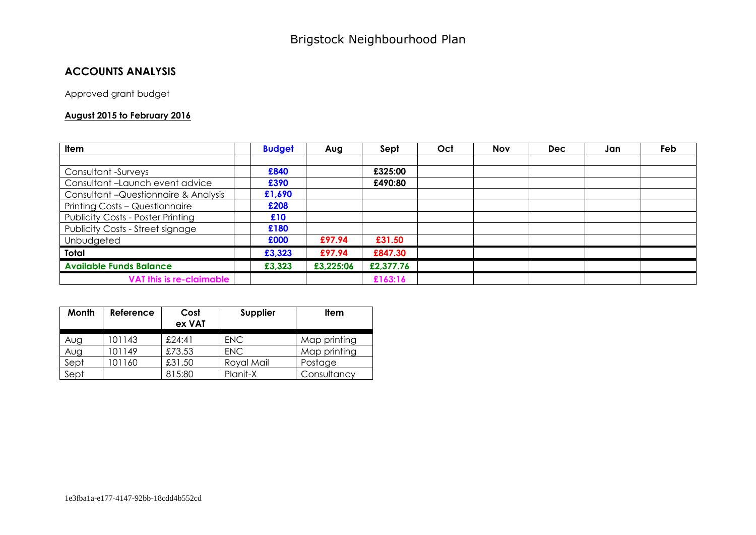# **ACCOUNTS ANALYSIS**

Approved grant budget

# **August 2015 to February 2016**

| Item                                     | <b>Budget</b> | Aug       | Sept      | Oct | <b>Nov</b> | <b>Dec</b> | Jan | Feb |
|------------------------------------------|---------------|-----------|-----------|-----|------------|------------|-----|-----|
|                                          |               |           |           |     |            |            |     |     |
| Consultant -Surveys                      | £840          |           | £325:00   |     |            |            |     |     |
| Consultant-Launch event advice           | £390          |           | £490:80   |     |            |            |     |     |
| Consultant - Questionnaire & Analysis    | £1,690        |           |           |     |            |            |     |     |
| Printing Costs - Questionnaire           | £208          |           |           |     |            |            |     |     |
| <b>Publicity Costs - Poster Printing</b> | £10           |           |           |     |            |            |     |     |
| Publicity Costs - Street signage         | £180          |           |           |     |            |            |     |     |
| Unbudgeted                               | £000          | £97.94    | £31.50    |     |            |            |     |     |
| Total                                    | £3,323        | £97.94    | £847.30   |     |            |            |     |     |
| <b>Available Funds Balance</b>           | £3,323        | £3,225:06 | £2,377.76 |     |            |            |     |     |
| <b>VAT this is re-claimable</b>          |               |           | £163:16   |     |            |            |     |     |

| Month | Reference | Cost<br>ex VAT | Supplier   | <b>Item</b>  |
|-------|-----------|----------------|------------|--------------|
| Aug   | 01143     | £24:41         | <b>ENC</b> | Map printing |
| Aug   | 01149     | £73.53         | <b>ENC</b> | Map printing |
| Sept  | 01160     | £31.50         | Royal Mail | Postage      |
| Sept  |           | 815:80         | Planit-X   | Consultancy  |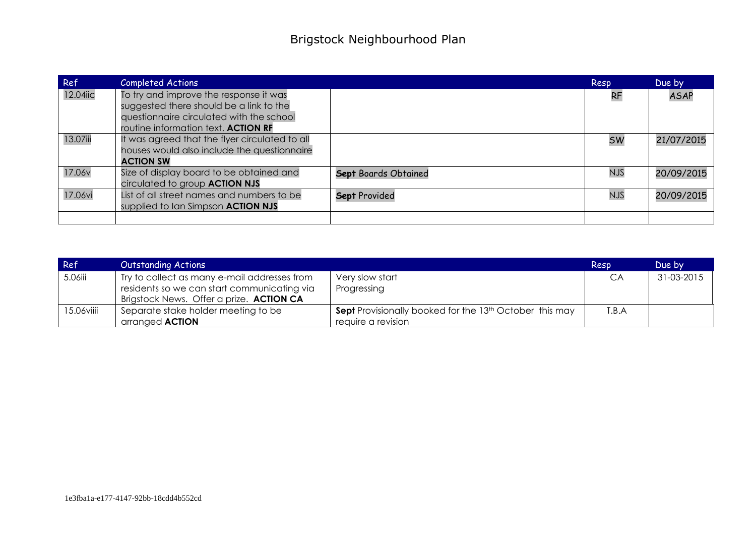| Ref      | <b>Completed Actions</b>                       |                      | Resp       | Due by      |
|----------|------------------------------------------------|----------------------|------------|-------------|
| 12.04iic | To try and improve the response it was         |                      | <b>RF</b>  | <b>ASAP</b> |
|          | suggested there should be a link to the        |                      |            |             |
|          | questionnaire circulated with the school       |                      |            |             |
|          | routine information text. ACTION RF            |                      |            |             |
| 13.07iii | It was agreed that the flyer circulated to all |                      | <b>SW</b>  | 21/07/2015  |
|          | houses would also include the questionnaire    |                      |            |             |
|          | <b>ACTION SW</b>                               |                      |            |             |
| 17.06v   | Size of display board to be obtained and       | Sept Boards Obtained | <b>NJS</b> | 20/09/2015  |
|          | circulated to group <b>ACTION NJS</b>          |                      |            |             |
| 17.06vi  | List of all street names and numbers to be     | Sept Provided        | <b>NJS</b> | 20/09/2015  |
|          | supplied to Ian Simpson <b>ACTION NJS</b>      |                      |            |             |
|          |                                                |                      |            |             |

| Ref        | <b>Outstanding Actions</b>                   |                                                                     | Resp  | Due by     |
|------------|----------------------------------------------|---------------------------------------------------------------------|-------|------------|
| 5.06iii    | Try to collect as many e-mail addresses from | Very slow start                                                     | CA    | 31-03-2015 |
|            | residents so we can start communicating via  | Progressing                                                         |       |            |
|            | Brigstock News. Offer a prize. ACTION CA     |                                                                     |       |            |
| 15.06viiii | Separate stake holder meeting to be          | Sept Provisionally booked for the 13 <sup>th</sup> October this may | T.B.A |            |
|            | arranged <b>ACTION</b>                       | require a revision                                                  |       |            |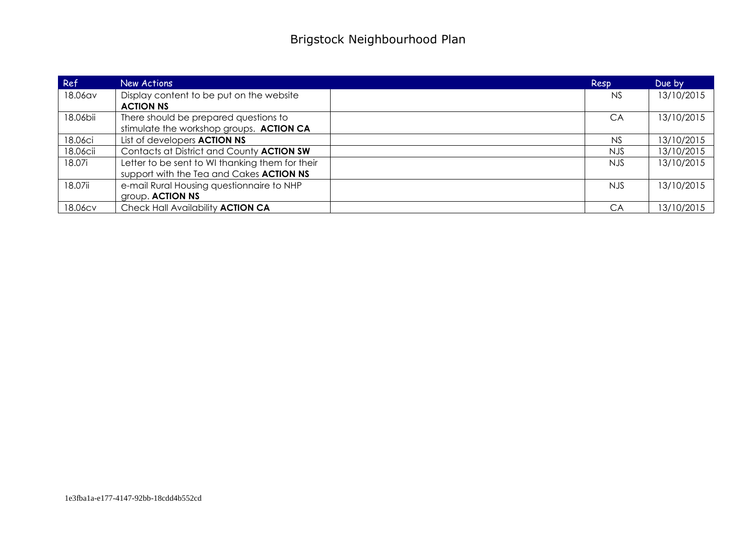| Ref      | New Actions                                                                                 | Resp      | Due by     |
|----------|---------------------------------------------------------------------------------------------|-----------|------------|
| 18.06av  | Display content to be put on the website<br><b>ACTION NS</b>                                | <b>NS</b> | 13/10/2015 |
| 18.06bii | There should be prepared questions to<br>stimulate the workshop groups. ACTION CA           | CA        | 13/10/2015 |
| 18.06ci  | List of developers <b>ACTION NS</b>                                                         | <b>NS</b> | 13/10/2015 |
| 18.06cii | Contacts at District and County ACTION SW                                                   | NJS.      | 13/10/2015 |
| 18.07i   | Letter to be sent to WI thanking them for their<br>support with the Tea and Cakes ACTION NS | NJS.      | 13/10/2015 |
| 18.07ii  | e-mail Rural Housing questionnaire to NHP<br>group. ACTION NS                               | NJS.      | 13/10/2015 |
| 18.06cv  | Check Hall Availability ACTION CA                                                           | CA        | 13/10/2015 |